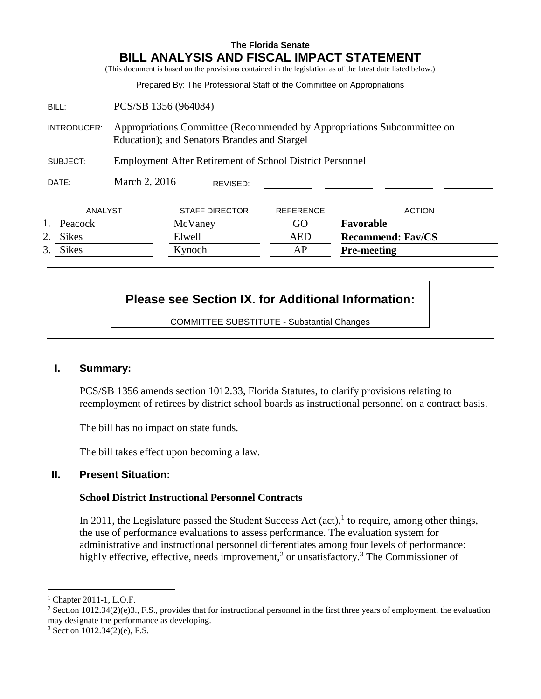## **The Florida Senate BILL ANALYSIS AND FISCAL IMPACT STATEMENT**

(This document is based on the provisions contained in the legislation as of the latest date listed below.)

|                    |                                                                                                                         | Prepared By: The Professional Staff of the Committee on Appropriations |                  |                          |
|--------------------|-------------------------------------------------------------------------------------------------------------------------|------------------------------------------------------------------------|------------------|--------------------------|
| BILL:              | PCS/SB 1356 (964084)                                                                                                    |                                                                        |                  |                          |
| INTRODUCER:        | Appropriations Committee (Recommended by Appropriations Subcommittee on<br>Education); and Senators Brandes and Stargel |                                                                        |                  |                          |
| SUBJECT:           | <b>Employment After Retirement of School District Personnel</b>                                                         |                                                                        |                  |                          |
| DATE:              | March 2, 2016                                                                                                           | REVISED:                                                               |                  |                          |
| ANALYST            |                                                                                                                         | <b>STAFF DIRECTOR</b>                                                  | <b>REFERENCE</b> | <b>ACTION</b>            |
| Peacock            |                                                                                                                         | McVaney                                                                | GO.              | Favorable                |
| 2.<br><b>Sikes</b> |                                                                                                                         | Elwell                                                                 | <b>AED</b>       | <b>Recommend: Fav/CS</b> |
| 3.<br><b>Sikes</b> |                                                                                                                         | Kynoch                                                                 | AP               | <b>Pre-meeting</b>       |

# **Please see Section IX. for Additional Information:**

COMMITTEE SUBSTITUTE - Substantial Changes

#### **I. Summary:**

PCS/SB 1356 amends section 1012.33, Florida Statutes, to clarify provisions relating to reemployment of retirees by district school boards as instructional personnel on a contract basis.

The bill has no impact on state funds.

The bill takes effect upon becoming a law.

#### **II. Present Situation:**

#### **School District Instructional Personnel Contracts**

In 2011, the Legislature passed the Student Success Act  $(\text{act})$ , to require, among other things, the use of performance evaluations to assess performance. The evaluation system for administrative and instructional personnel differentiates among four levels of performance: highly effective, effective, needs improvement,<sup>2</sup> or unsatisfactory.<sup>3</sup> The Commissioner of

<sup>1</sup> Chapter 2011-1, L.O.F.

<sup>&</sup>lt;sup>2</sup> Section 1012.34(2)(e)3., F.S., provides that for instructional personnel in the first three years of employment, the evaluation may designate the performance as developing.

 $3$  Section 1012.34(2)(e), F.S.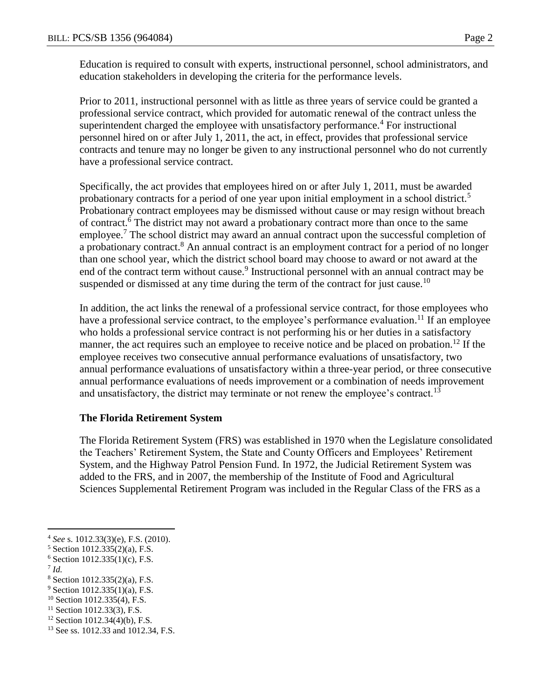Education is required to consult with experts, instructional personnel, school administrators, and education stakeholders in developing the criteria for the performance levels.

Prior to 2011, instructional personnel with as little as three years of service could be granted a professional service contract, which provided for automatic renewal of the contract unless the superintendent charged the employee with unsatisfactory performance.<sup>4</sup> For instructional personnel hired on or after July 1, 2011, the act, in effect, provides that professional service contracts and tenure may no longer be given to any instructional personnel who do not currently have a professional service contract.

Specifically, the act provides that employees hired on or after July 1, 2011, must be awarded probationary contracts for a period of one year upon initial employment in a school district.<sup>5</sup> Probationary contract employees may be dismissed without cause or may resign without breach of contract.<sup>6</sup> The district may not award a probationary contract more than once to the same employee.<sup>7</sup> The school district may award an annual contract upon the successful completion of a probationary contract.<sup>8</sup> An annual contract is an employment contract for a period of no longer than one school year, which the district school board may choose to award or not award at the end of the contract term without cause.<sup>9</sup> Instructional personnel with an annual contract may be suspended or dismissed at any time during the term of the contract for just cause.<sup>10</sup>

In addition, the act links the renewal of a professional service contract, for those employees who have a professional service contract, to the employee's performance evaluation.<sup>11</sup> If an employee who holds a professional service contract is not performing his or her duties in a satisfactory manner, the act requires such an employee to receive notice and be placed on probation.<sup>12</sup> If the employee receives two consecutive annual performance evaluations of unsatisfactory, two annual performance evaluations of unsatisfactory within a three-year period, or three consecutive annual performance evaluations of needs improvement or a combination of needs improvement and unsatisfactory, the district may terminate or not renew the employee's contract.<sup>13</sup>

#### **The Florida Retirement System**

The Florida Retirement System (FRS) was established in 1970 when the Legislature consolidated the Teachers' Retirement System, the State and County Officers and Employees' Retirement System, and the Highway Patrol Pension Fund. In 1972, the Judicial Retirement System was added to the FRS, and in 2007, the membership of the Institute of Food and Agricultural Sciences Supplemental Retirement Program was included in the Regular Class of the FRS as a

7 *Id.*

<sup>4</sup> *See* s. 1012.33(3)(e), F.S. (2010).

<sup>5</sup> Section 1012.335(2)(a), F.S.

 $6$  Section 1012.335(1)(c), F.S.

<sup>8</sup> Section 1012.335(2)(a), F.S.

 $9$  Section 1012.335(1)(a), F.S.

 $10$  Section 1012.335(4), F.S.

 $11$  Section 1012.33(3), F.S.

 $12$  Section 1012.34(4)(b), F.S.

<sup>&</sup>lt;sup>13</sup> See ss. 1012.33 and 1012.34, F.S.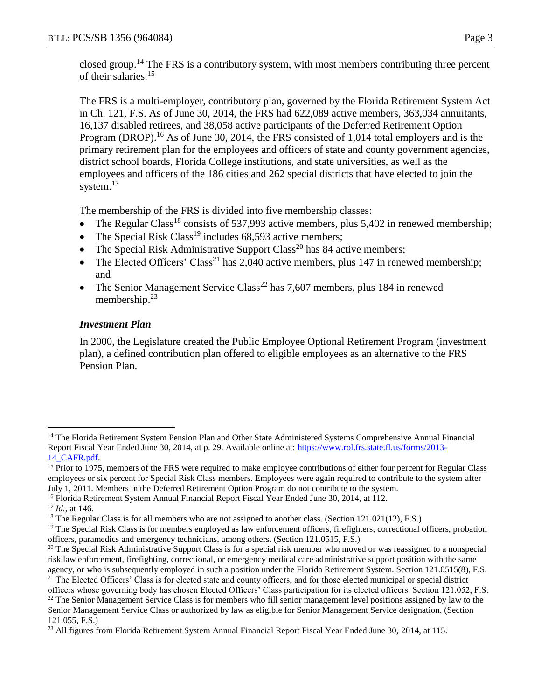closed group.<sup>14</sup> The FRS is a contributory system, with most members contributing three percent of their salaries.<sup>15</sup>

The FRS is a multi-employer, contributory plan, governed by the Florida Retirement System Act in Ch. 121, F.S. As of June 30, 2014, the FRS had 622,089 active members, 363,034 annuitants, 16,137 disabled retirees, and 38,058 active participants of the Deferred Retirement Option Program (DROP).<sup>16</sup> As of June 30, 2014, the FRS consisted of 1,014 total employers and is the primary retirement plan for the employees and officers of state and county government agencies, district school boards, Florida College institutions, and state universities, as well as the employees and officers of the 186 cities and 262 special districts that have elected to join the system.<sup>17</sup>

The membership of the FRS is divided into five membership classes:

- The Regular Class<sup>18</sup> consists of 537,993 active members, plus 5,402 in renewed membership;
- The Special Risk Class<sup>19</sup> includes 68,593 active members;
- The Special Risk Administrative Support Class<sup>20</sup> has 84 active members;
- The Elected Officers' Class<sup>21</sup> has 2,040 active members, plus 147 in renewed membership; and
- The Senior Management Service Class<sup>22</sup> has  $7,607$  members, plus 184 in renewed membership.<sup>23</sup>

# *Investment Plan*

In 2000, the Legislature created the Public Employee Optional Retirement Program (investment plan), a defined contribution plan offered to eligible employees as an alternative to the FRS Pension Plan.

<sup>&</sup>lt;sup>14</sup> The Florida Retirement System Pension Plan and Other State Administered Systems Comprehensive Annual Financial Report Fiscal Year Ended June 30, 2014, at p. 29. Available online at: [https://www.rol.frs.state.fl.us/forms/2013-](https://www.rol.frs.state.fl.us/forms/2013-14_CAFR.pdf) [14\\_CAFR.pdf.](https://www.rol.frs.state.fl.us/forms/2013-14_CAFR.pdf)

<sup>&</sup>lt;sup>15</sup> Prior to 1975, members of the FRS were required to make employee contributions of either four percent for Regular Class employees or six percent for Special Risk Class members. Employees were again required to contribute to the system after July 1, 2011. Members in the Deferred Retirement Option Program do not contribute to the system.

<sup>&</sup>lt;sup>16</sup> Florida Retirement System Annual Financial Report Fiscal Year Ended June 30, 2014, at 112.

<sup>17</sup> *Id.*, at 146.

<sup>&</sup>lt;sup>18</sup> The Regular Class is for all members who are not assigned to another class. (Section 121.021(12), F.S.)

 $19$  The Special Risk Class is for members employed as law enforcement officers, firefighters, correctional officers, probation officers, paramedics and emergency technicians, among others. (Section 121.0515, F.S.)

<sup>&</sup>lt;sup>20</sup> The Special Risk Administrative Support Class is for a special risk member who moved or was reassigned to a nonspecial risk law enforcement, firefighting, correctional, or emergency medical care administrative support position with the same agency, or who is subsequently employed in such a position under the Florida Retirement System. Section 121.0515(8), F.S.

<sup>&</sup>lt;sup>21</sup> The Elected Officers' Class is for elected state and county officers, and for those elected municipal or special district officers whose governing body has chosen Elected Officers' Class participation for its elected officers. Section 121.052, F.S.

 $22$  The Senior Management Service Class is for members who fill senior management level positions assigned by law to the Senior Management Service Class or authorized by law as eligible for Senior Management Service designation. (Section 121.055, F.S.)

<sup>&</sup>lt;sup>23</sup> All figures from Florida Retirement System Annual Financial Report Fiscal Year Ended June 30, 2014, at 115.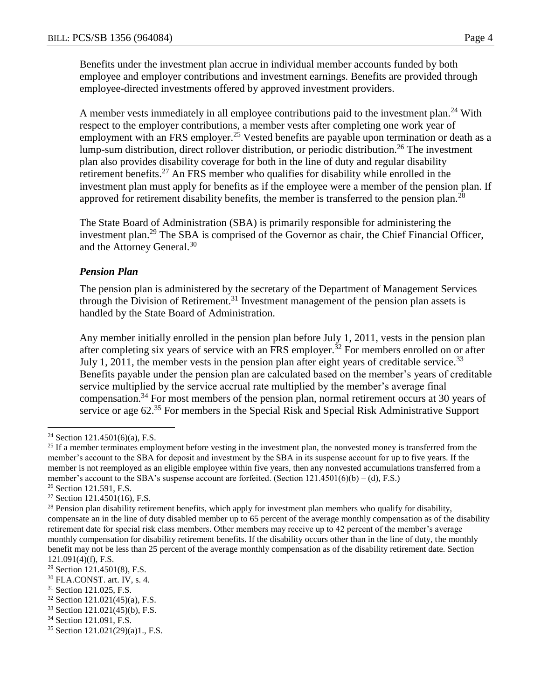Benefits under the investment plan accrue in individual member accounts funded by both employee and employer contributions and investment earnings. Benefits are provided through employee-directed investments offered by approved investment providers.

A member vests immediately in all employee contributions paid to the investment plan.<sup>24</sup> With respect to the employer contributions, a member vests after completing one work year of employment with an FRS employer.<sup>25</sup> Vested benefits are payable upon termination or death as a lump-sum distribution, direct rollover distribution, or periodic distribution.<sup>26</sup> The investment plan also provides disability coverage for both in the line of duty and regular disability retirement benefits.<sup>27</sup> An FRS member who qualifies for disability while enrolled in the investment plan must apply for benefits as if the employee were a member of the pension plan. If approved for retirement disability benefits, the member is transferred to the pension plan.<sup>28</sup>

The State Board of Administration (SBA) is primarily responsible for administering the investment plan.<sup>29</sup> The SBA is comprised of the Governor as chair, the Chief Financial Officer, and the Attorney General.<sup>30</sup>

#### *Pension Plan*

The pension plan is administered by the secretary of the Department of Management Services through the Division of Retirement.<sup>31</sup> Investment management of the pension plan assets is handled by the State Board of Administration.

Any member initially enrolled in the pension plan before July 1, 2011, vests in the pension plan after completing six years of service with an FRS employer.<sup>32</sup> For members enrolled on or after July 1, 2011, the member vests in the pension plan after eight years of creditable service.<sup>33</sup> Benefits payable under the pension plan are calculated based on the member's years of creditable service multiplied by the service accrual rate multiplied by the member's average final compensation.<sup>34</sup> For most members of the pension plan, normal retirement occurs at 30 years of service or age 62.<sup>35</sup> For members in the Special Risk and Special Risk Administrative Support

<sup>&</sup>lt;sup>24</sup> Section 121.4501(6)(a), F.S.

 $25$  If a member terminates employment before vesting in the investment plan, the nonvested money is transferred from the member's account to the SBA for deposit and investment by the SBA in its suspense account for up to five years. If the member is not reemployed as an eligible employee within five years, then any nonvested accumulations transferred from a member's account to the SBA's suspense account are forfeited. (Section  $121.4501(6)(b) - (d)$ , F.S.)

<sup>26</sup> Section 121.591, F.S.

 $27$  Section 121.4501(16), F.S.

<sup>&</sup>lt;sup>28</sup> Pension plan disability retirement benefits, which apply for investment plan members who qualify for disability, compensate an in the line of duty disabled member up to 65 percent of the average monthly compensation as of the disability retirement date for special risk class members. Other members may receive up to 42 percent of the member's average monthly compensation for disability retirement benefits. If the disability occurs other than in the line of duty, the monthly benefit may not be less than 25 percent of the average monthly compensation as of the disability retirement date. Section 121.091(4)(f), F.S.

<sup>29</sup> Section 121.4501(8), F.S.

<sup>30</sup> FLA.CONST. art. IV, s. 4.

<sup>&</sup>lt;sup>31</sup> Section 121.025, F.S.

 $32$  Section 121.021(45)(a), F.S.

<sup>33</sup> Section 121.021(45)(b), F.S.

<sup>34</sup> Section 121.091, F.S.

<sup>35</sup> Section 121.021(29)(a)1., F.S.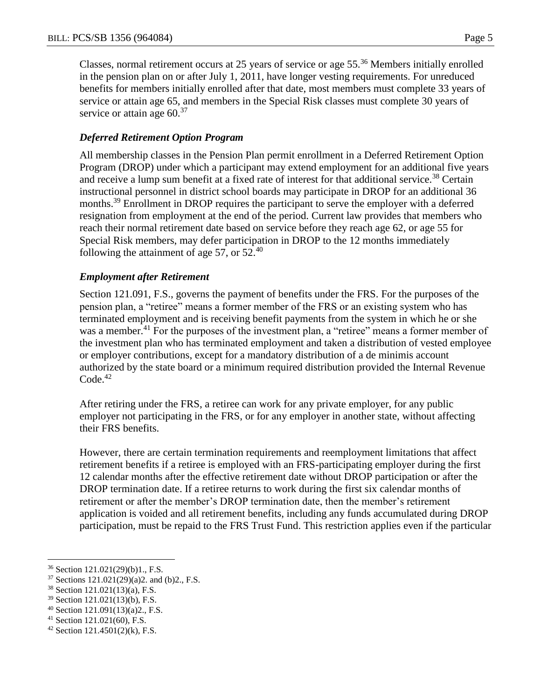Classes, normal retirement occurs at 25 years of service or age 55.<sup>36</sup> Members initially enrolled in the pension plan on or after July 1, 2011, have longer vesting requirements. For unreduced benefits for members initially enrolled after that date, most members must complete 33 years of service or attain age 65, and members in the Special Risk classes must complete 30 years of service or attain age  $60<sup>37</sup>$ 

# *Deferred Retirement Option Program*

All membership classes in the Pension Plan permit enrollment in a Deferred Retirement Option Program (DROP) under which a participant may extend employment for an additional five years and receive a lump sum benefit at a fixed rate of interest for that additional service.<sup>38</sup> Certain instructional personnel in district school boards may participate in DROP for an additional 36 months.<sup>39</sup> Enrollment in DROP requires the participant to serve the employer with a deferred resignation from employment at the end of the period. Current law provides that members who reach their normal retirement date based on service before they reach age 62, or age 55 for Special Risk members, may defer participation in DROP to the 12 months immediately following the attainment of age 57, or  $52<sup>40</sup>$ 

# *Employment after Retirement*

Section 121.091, F.S., governs the payment of benefits under the FRS. For the purposes of the pension plan, a "retiree" means a former member of the FRS or an existing system who has terminated employment and is receiving benefit payments from the system in which he or she was a member.<sup>41</sup> For the purposes of the investment plan, a "retiree" means a former member of the investment plan who has terminated employment and taken a distribution of vested employee or employer contributions, except for a mandatory distribution of a de minimis account authorized by the state board or a minimum required distribution provided the Internal Revenue  $Code.<sup>42</sup>$ 

After retiring under the FRS, a retiree can work for any private employer, for any public employer not participating in the FRS, or for any employer in another state, without affecting their FRS benefits.

However, there are certain termination requirements and reemployment limitations that affect retirement benefits if a retiree is employed with an FRS-participating employer during the first 12 calendar months after the effective retirement date without DROP participation or after the DROP termination date. If a retiree returns to work during the first six calendar months of retirement or after the member's DROP termination date, then the member's retirement application is voided and all retirement benefits, including any funds accumulated during DROP participation, must be repaid to the FRS Trust Fund. This restriction applies even if the particular

<sup>41</sup> Section 121.021(60), F.S.

 $\overline{a}$ <sup>36</sup> Section 121.021(29)(b)1., F.S.

 $37$  Sections 121.021(29)(a)2. and (b)2., F.S.

<sup>38</sup> Section 121.021(13)(a), F.S.

 $39$  Section 121.021(13)(b), F.S.

<sup>40</sup> Section 121.091(13)(a)2., F.S.

 $42$  Section 121.4501(2)(k), F.S.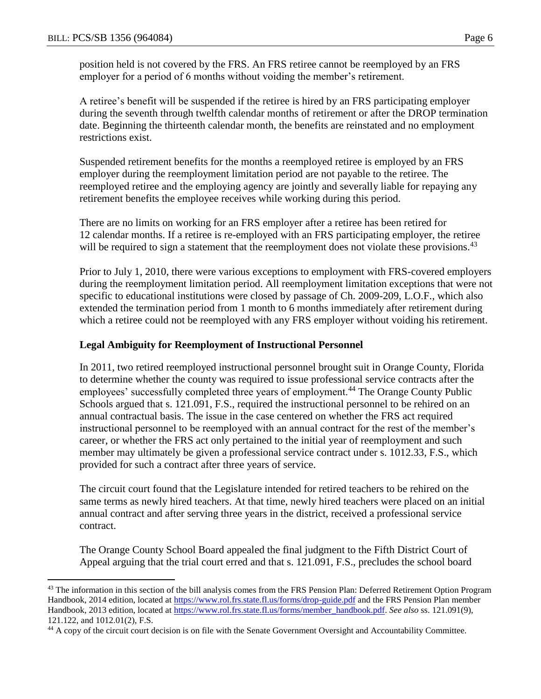$\overline{a}$ 

position held is not covered by the FRS. An FRS retiree cannot be reemployed by an FRS employer for a period of 6 months without voiding the member's retirement.

A retiree's benefit will be suspended if the retiree is hired by an FRS participating employer during the seventh through twelfth calendar months of retirement or after the DROP termination date. Beginning the thirteenth calendar month, the benefits are reinstated and no employment restrictions exist.

Suspended retirement benefits for the months a reemployed retiree is employed by an FRS employer during the reemployment limitation period are not payable to the retiree. The reemployed retiree and the employing agency are jointly and severally liable for repaying any retirement benefits the employee receives while working during this period.

There are no limits on working for an FRS employer after a retiree has been retired for 12 calendar months. If a retiree is re-employed with an FRS participating employer, the retiree will be required to sign a statement that the reemployment does not violate these provisions.<sup>43</sup>

Prior to July 1, 2010, there were various exceptions to employment with FRS-covered employers during the reemployment limitation period. All reemployment limitation exceptions that were not specific to educational institutions were closed by passage of Ch. 2009-209, L.O.F., which also extended the termination period from 1 month to 6 months immediately after retirement during which a retiree could not be reemployed with any FRS employer without voiding his retirement.

## **Legal Ambiguity for Reemployment of Instructional Personnel**

In 2011, two retired reemployed instructional personnel brought suit in Orange County, Florida to determine whether the county was required to issue professional service contracts after the employees' successfully completed three years of employment.<sup>44</sup> The Orange County Public Schools argued that s. 121.091, F.S., required the instructional personnel to be rehired on an annual contractual basis. The issue in the case centered on whether the FRS act required instructional personnel to be reemployed with an annual contract for the rest of the member's career, or whether the FRS act only pertained to the initial year of reemployment and such member may ultimately be given a professional service contract under s. 1012.33, F.S., which provided for such a contract after three years of service.

The circuit court found that the Legislature intended for retired teachers to be rehired on the same terms as newly hired teachers. At that time, newly hired teachers were placed on an initial annual contract and after serving three years in the district, received a professional service contract.

The Orange County School Board appealed the final judgment to the Fifth District Court of Appeal arguing that the trial court erred and that s. 121.091, F.S., precludes the school board

<sup>&</sup>lt;sup>43</sup> The information in this section of the bill analysis comes from the FRS Pension Plan: Deferred Retirement Option Program Handbook, 2014 edition, located at<https://www.rol.frs.state.fl.us/forms/drop-guide.pdf> and the FRS Pension Plan member Handbook, 2013 edition, located at [https://www.rol.frs.state.fl.us/forms/member\\_handbook.pdf.](https://www.rol.frs.state.fl.us/forms/member_handbook.pdf) *See also* ss. 121.091(9), 121.122, and 1012.01(2), F.S.

<sup>&</sup>lt;sup>44</sup> A copy of the circuit court decision is on file with the Senate Government Oversight and Accountability Committee.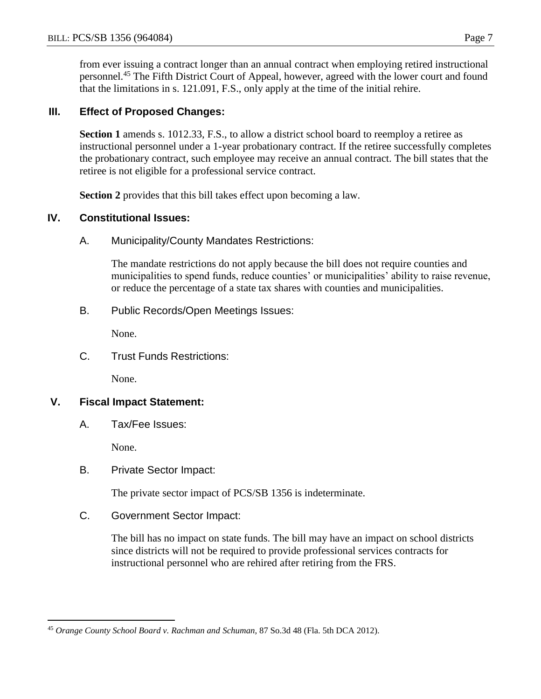from ever issuing a contract longer than an annual contract when employing retired instructional personnel.<sup>45</sup> The Fifth District Court of Appeal, however, agreed with the lower court and found that the limitations in s. 121.091, F.S., only apply at the time of the initial rehire.

## **III. Effect of Proposed Changes:**

Section 1 amends s. 1012.33, F.S., to allow a district school board to reemploy a retiree as instructional personnel under a 1-year probationary contract. If the retiree successfully completes the probationary contract, such employee may receive an annual contract. The bill states that the retiree is not eligible for a professional service contract.

**Section 2** provides that this bill takes effect upon becoming a law.

# **IV. Constitutional Issues:**

A. Municipality/County Mandates Restrictions:

The mandate restrictions do not apply because the bill does not require counties and municipalities to spend funds, reduce counties' or municipalities' ability to raise revenue, or reduce the percentage of a state tax shares with counties and municipalities.

B. Public Records/Open Meetings Issues:

None.

C. Trust Funds Restrictions:

None.

#### **V. Fiscal Impact Statement:**

A. Tax/Fee Issues:

None.

 $\overline{a}$ 

B. Private Sector Impact:

The private sector impact of PCS/SB 1356 is indeterminate.

C. Government Sector Impact:

The bill has no impact on state funds. The bill may have an impact on school districts since districts will not be required to provide professional services contracts for instructional personnel who are rehired after retiring from the FRS.

<sup>45</sup> *Orange County School Board v. Rachman and Schuman*, 87 So.3d 48 (Fla. 5th DCA 2012).